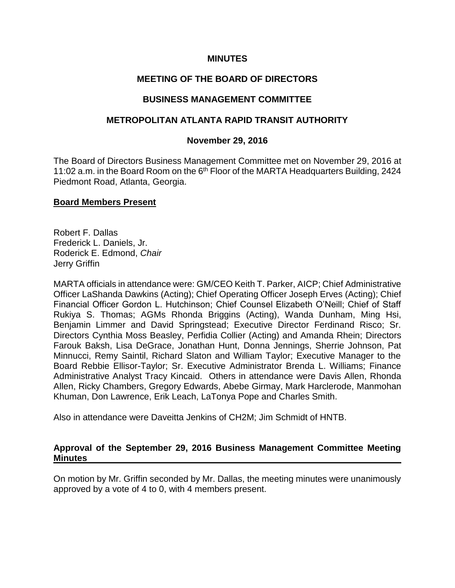### **MINUTES**

# **MEETING OF THE BOARD OF DIRECTORS**

### **BUSINESS MANAGEMENT COMMITTEE**

### **METROPOLITAN ATLANTA RAPID TRANSIT AUTHORITY**

### **November 29, 2016**

The Board of Directors Business Management Committee met on November 29, 2016 at 11:02 a.m. in the Board Room on the 6<sup>th</sup> Floor of the MARTA Headquarters Building, 2424 Piedmont Road, Atlanta, Georgia.

### **Board Members Present**

Robert F. Dallas Frederick L. Daniels, Jr. Roderick E. Edmond, *Chair* Jerry Griffin

MARTA officials in attendance were: GM/CEO Keith T. Parker, AICP; Chief Administrative Officer LaShanda Dawkins (Acting); Chief Operating Officer Joseph Erves (Acting); Chief Financial Officer Gordon L. Hutchinson; Chief Counsel Elizabeth O'Neill; Chief of Staff Rukiya S. Thomas; AGMs Rhonda Briggins (Acting), Wanda Dunham, Ming Hsi, Benjamin Limmer and David Springstead; Executive Director Ferdinand Risco; Sr. Directors Cynthia Moss Beasley, Perfidia Collier (Acting) and Amanda Rhein; Directors Farouk Baksh, Lisa DeGrace, Jonathan Hunt, Donna Jennings, Sherrie Johnson, Pat Minnucci, Remy Saintil, Richard Slaton and William Taylor; Executive Manager to the Board Rebbie Ellisor-Taylor; Sr. Executive Administrator Brenda L. Williams; Finance Administrative Analyst Tracy Kincaid. Others in attendance were Davis Allen, Rhonda Allen, Ricky Chambers, Gregory Edwards, Abebe Girmay, Mark Harclerode, Manmohan Khuman, Don Lawrence, Erik Leach, LaTonya Pope and Charles Smith.

Also in attendance were Daveitta Jenkins of CH2M; Jim Schmidt of HNTB.

### **Approval of the September 29, 2016 Business Management Committee Meeting Minutes**

On motion by Mr. Griffin seconded by Mr. Dallas, the meeting minutes were unanimously approved by a vote of 4 to 0, with 4 members present.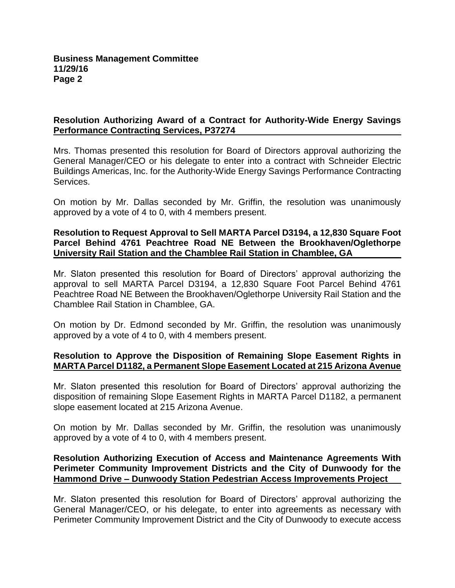# **Resolution Authorizing Award of a Contract for Authority-Wide Energy Savings Performance Contracting Services, P37274**

Mrs. Thomas presented this resolution for Board of Directors approval authorizing the General Manager/CEO or his delegate to enter into a contract with Schneider Electric Buildings Americas, Inc. for the Authority-Wide Energy Savings Performance Contracting Services.

On motion by Mr. Dallas seconded by Mr. Griffin, the resolution was unanimously approved by a vote of 4 to 0, with 4 members present.

### **Resolution to Request Approval to Sell MARTA Parcel D3194, a 12,830 Square Foot Parcel Behind 4761 Peachtree Road NE Between the Brookhaven/Oglethorpe University Rail Station and the Chamblee Rail Station in Chamblee, GA**

Mr. Slaton presented this resolution for Board of Directors' approval authorizing the approval to sell MARTA Parcel D3194, a 12,830 Square Foot Parcel Behind 4761 Peachtree Road NE Between the Brookhaven/Oglethorpe University Rail Station and the Chamblee Rail Station in Chamblee, GA.

On motion by Dr. Edmond seconded by Mr. Griffin, the resolution was unanimously approved by a vote of 4 to 0, with 4 members present.

# **Resolution to Approve the Disposition of Remaining Slope Easement Rights in MARTA Parcel D1182, a Permanent Slope Easement Located at 215 Arizona Avenue**

Mr. Slaton presented this resolution for Board of Directors' approval authorizing the disposition of remaining Slope Easement Rights in MARTA Parcel D1182, a permanent slope easement located at 215 Arizona Avenue.

On motion by Mr. Dallas seconded by Mr. Griffin, the resolution was unanimously approved by a vote of 4 to 0, with 4 members present.

### **Resolution Authorizing Execution of Access and Maintenance Agreements With Perimeter Community Improvement Districts and the City of Dunwoody for the Hammond Drive – Dunwoody Station Pedestrian Access Improvements Project**

Mr. Slaton presented this resolution for Board of Directors' approval authorizing the General Manager/CEO, or his delegate, to enter into agreements as necessary with Perimeter Community Improvement District and the City of Dunwoody to execute access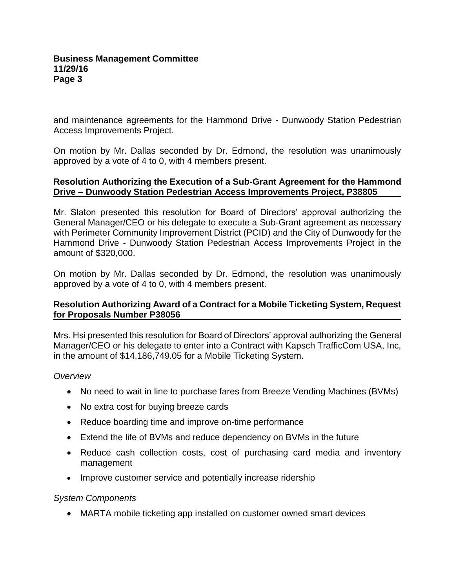and maintenance agreements for the Hammond Drive - Dunwoody Station Pedestrian Access Improvements Project.

On motion by Mr. Dallas seconded by Dr. Edmond, the resolution was unanimously approved by a vote of 4 to 0, with 4 members present.

### **Resolution Authorizing the Execution of a Sub-Grant Agreement for the Hammond Drive – Dunwoody Station Pedestrian Access Improvements Project, P38805**

Mr. Slaton presented this resolution for Board of Directors' approval authorizing the General Manager/CEO or his delegate to execute a Sub-Grant agreement as necessary with Perimeter Community Improvement District (PCID) and the City of Dunwoody for the Hammond Drive - Dunwoody Station Pedestrian Access Improvements Project in the amount of \$320,000.

On motion by Mr. Dallas seconded by Dr. Edmond, the resolution was unanimously approved by a vote of 4 to 0, with 4 members present.

# **Resolution Authorizing Award of a Contract for a Mobile Ticketing System, Request for Proposals Number P38056**

Mrs. Hsi presented this resolution for Board of Directors' approval authorizing the General Manager/CEO or his delegate to enter into a Contract with Kapsch TrafficCom USA, Inc, in the amount of \$14,186,749.05 for a Mobile Ticketing System.

# *Overview*

- No need to wait in line to purchase fares from Breeze Vending Machines (BVMs)
- No extra cost for buying breeze cards
- Reduce boarding time and improve on-time performance
- Extend the life of BVMs and reduce dependency on BVMs in the future
- Reduce cash collection costs, cost of purchasing card media and inventory management
- Improve customer service and potentially increase ridership

# *System Components*

MARTA mobile ticketing app installed on customer owned smart devices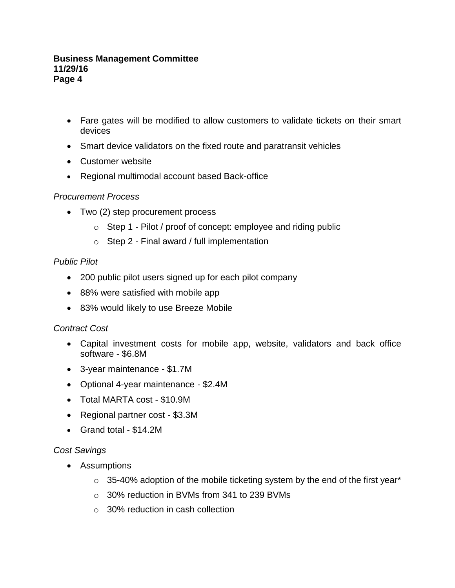### **Business Management Committee 11/29/16 Page 4**

- Fare gates will be modified to allow customers to validate tickets on their smart devices
- Smart device validators on the fixed route and paratransit vehicles
- Customer website
- Regional multimodal account based Back-office

# *Procurement Process*

- Two (2) step procurement process
	- o Step 1 Pilot / proof of concept: employee and riding public
	- $\circ$  Step 2 Final award / full implementation

# *Public Pilot*

- 200 public pilot users signed up for each pilot company
- 88% were satisfied with mobile app
- 83% would likely to use Breeze Mobile

# *Contract Cost*

- Capital investment costs for mobile app, website, validators and back office software - \$6.8M
- 3-year maintenance \$1.7M
- Optional 4-year maintenance \$2.4M
- Total MARTA cost \$10.9M
- Regional partner cost \$3.3M
- Grand total \$14.2M

# *Cost Savings*

- Assumptions
	- $\circ$  35-40% adoption of the mobile ticketing system by the end of the first year\*
	- o 30% reduction in BVMs from 341 to 239 BVMs
	- $\circ$  30% reduction in cash collection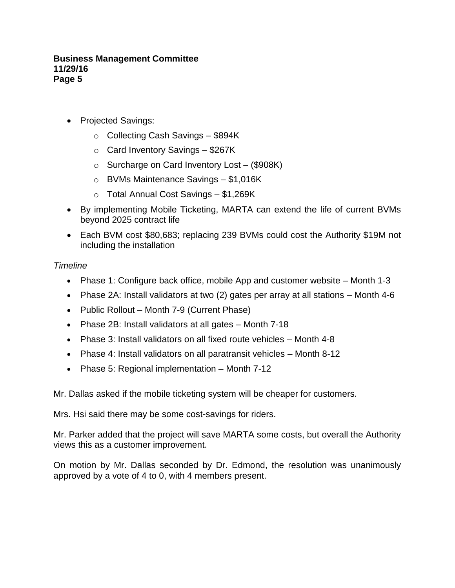### **Business Management Committee 11/29/16 Page 5**

- Projected Savings:
	- $\circ$  Collecting Cash Savings \$894K
	- $\circ$  Card Inventory Savings \$267K
	- o Surcharge on Card Inventory Lost (\$908K)
	- o BVMs Maintenance Savings \$1,016K
	- o Total Annual Cost Savings \$1,269K
- By implementing Mobile Ticketing, MARTA can extend the life of current BVMs beyond 2025 contract life
- Each BVM cost \$80,683; replacing 239 BVMs could cost the Authority \$19M not including the installation

# *Timeline*

- Phase 1: Configure back office, mobile App and customer website Month 1-3
- Phase 2A: Install validators at two (2) gates per array at all stations Month 4-6
- Public Rollout Month 7-9 (Current Phase)
- Phase 2B: Install validators at all gates Month 7-18
- Phase 3: Install validators on all fixed route vehicles Month 4-8
- Phase 4: Install validators on all paratransit vehicles Month 8-12
- Phase 5: Regional implementation Month 7-12

Mr. Dallas asked if the mobile ticketing system will be cheaper for customers.

Mrs. Hsi said there may be some cost-savings for riders.

Mr. Parker added that the project will save MARTA some costs, but overall the Authority views this as a customer improvement.

On motion by Mr. Dallas seconded by Dr. Edmond, the resolution was unanimously approved by a vote of 4 to 0, with 4 members present.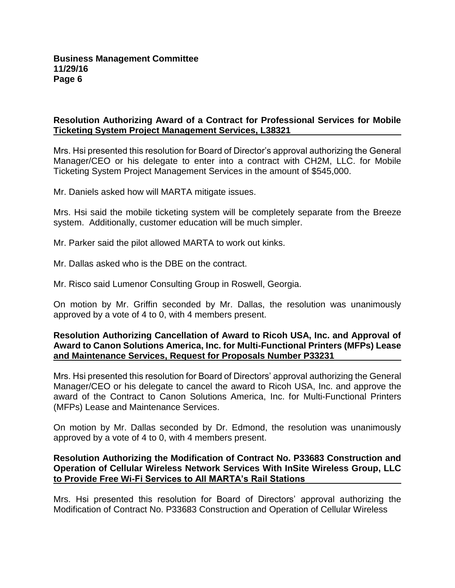# **Resolution Authorizing Award of a Contract for Professional Services for Mobile Ticketing System Project Management Services, L38321**

Mrs. Hsi presented this resolution for Board of Director's approval authorizing the General Manager/CEO or his delegate to enter into a contract with CH2M, LLC. for Mobile Ticketing System Project Management Services in the amount of \$545,000.

Mr. Daniels asked how will MARTA mitigate issues.

Mrs. Hsi said the mobile ticketing system will be completely separate from the Breeze system. Additionally, customer education will be much simpler.

Mr. Parker said the pilot allowed MARTA to work out kinks.

Mr. Dallas asked who is the DBE on the contract.

Mr. Risco said Lumenor Consulting Group in Roswell, Georgia.

On motion by Mr. Griffin seconded by Mr. Dallas, the resolution was unanimously approved by a vote of 4 to 0, with 4 members present.

### **Resolution Authorizing Cancellation of Award to Ricoh USA, Inc. and Approval of Award to Canon Solutions America, Inc. for Multi-Functional Printers (MFPs) Lease and Maintenance Services, Request for Proposals Number P33231**

Mrs. Hsi presented this resolution for Board of Directors' approval authorizing the General Manager/CEO or his delegate to cancel the award to Ricoh USA, Inc. and approve the award of the Contract to Canon Solutions America, Inc. for Multi-Functional Printers (MFPs) Lease and Maintenance Services.

On motion by Mr. Dallas seconded by Dr. Edmond, the resolution was unanimously approved by a vote of 4 to 0, with 4 members present.

### **Resolution Authorizing the Modification of Contract No. P33683 Construction and Operation of Cellular Wireless Network Services With InSite Wireless Group, LLC to Provide Free Wi-Fi Services to All MARTA's Rail Stations**

Mrs. Hsi presented this resolution for Board of Directors' approval authorizing the Modification of Contract No. P33683 Construction and Operation of Cellular Wireless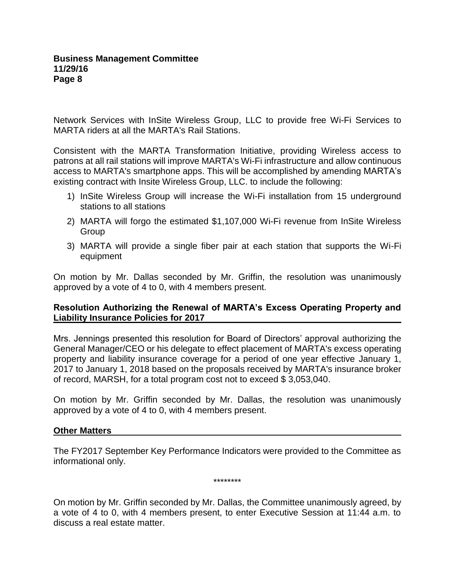Network Services with InSite Wireless Group, LLC to provide free Wi-Fi Services to MARTA riders at all the MARTA's Rail Stations.

Consistent with the MARTA Transformation Initiative, providing Wireless access to patrons at all rail stations will improve MARTA's Wi-Fi infrastructure and allow continuous access to MARTA's smartphone apps. This will be accomplished by amending MARTA's existing contract with Insite Wireless Group, LLC. to include the following:

- 1) InSite Wireless Group will increase the Wi-Fi installation from 15 underground stations to all stations
- 2) MARTA will forgo the estimated \$1,107,000 Wi-Fi revenue from InSite Wireless Group
- 3) MARTA will provide a single fiber pair at each station that supports the Wi-Fi equipment

On motion by Mr. Dallas seconded by Mr. Griffin, the resolution was unanimously approved by a vote of 4 to 0, with 4 members present.

# **Resolution Authorizing the Renewal of MARTA's Excess Operating Property and Liability Insurance Policies for 2017**

Mrs. Jennings presented this resolution for Board of Directors' approval authorizing the General Manager/CEO or his delegate to effect placement of MARTA's excess operating property and liability insurance coverage for a period of one year effective January 1, 2017 to January 1, 2018 based on the proposals received by MARTA's insurance broker of record, MARSH, for a total program cost not to exceed \$ 3,053,040.

On motion by Mr. Griffin seconded by Mr. Dallas, the resolution was unanimously approved by a vote of 4 to 0, with 4 members present.

# **Other Matters**

The FY2017 September Key Performance Indicators were provided to the Committee as informational only.

\*\*\*\*\*\*\*\*

On motion by Mr. Griffin seconded by Mr. Dallas, the Committee unanimously agreed, by a vote of 4 to 0, with 4 members present, to enter Executive Session at 11:44 a.m. to discuss a real estate matter.